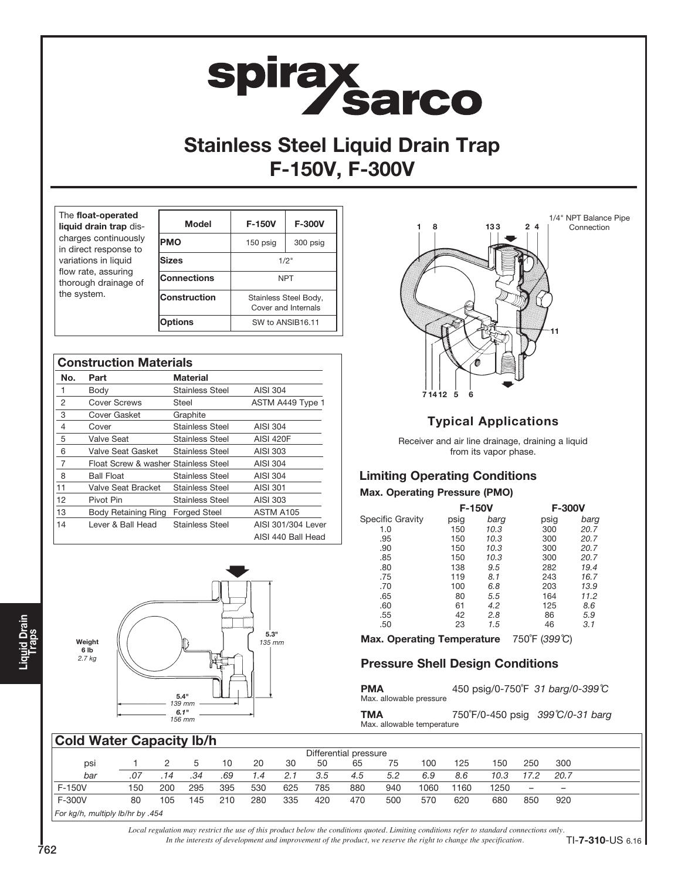# **spirax<br>Sarco**

# Stainless Steel Liquid Drain Trap F-150V, F-300V

| The float-operated<br>liquid drain trap dis-<br>charges continuously<br>in direct response to | <b>Model</b>       | F-150V           | <b>F-300V</b>                                |  |  |
|-----------------------------------------------------------------------------------------------|--------------------|------------------|----------------------------------------------|--|--|
|                                                                                               | <b>PMO</b>         | 150 psig         | 300 psig                                     |  |  |
| variations in liquid<br>flow rate, assuring                                                   | <b>Sizes</b>       | 1/2"             |                                              |  |  |
| thorough drainage of                                                                          | <b>Connections</b> | <b>NPT</b>       |                                              |  |  |
| the system.                                                                                   | Construction       |                  | Stainless Steel Body,<br>Cover and Internals |  |  |
|                                                                                               | Options            | SW to ANSIB16.11 |                                              |  |  |

| <b>Construction Materials</b> |                                      |                        |                    |  |  |  |  |  |  |
|-------------------------------|--------------------------------------|------------------------|--------------------|--|--|--|--|--|--|
| No.                           | Part                                 | Material               |                    |  |  |  |  |  |  |
| 1                             | Body                                 | <b>Stainless Steel</b> | AISI 304           |  |  |  |  |  |  |
| 2                             | Cover Screws                         | Steel                  | ASTM A449 Type 1   |  |  |  |  |  |  |
| 3                             | Cover Gasket                         | Graphite               |                    |  |  |  |  |  |  |
| 4                             | Cover                                | <b>Stainless Steel</b> | AISI 304           |  |  |  |  |  |  |
| 5                             | Valve Seat                           | <b>Stainless Steel</b> | <b>AISI 420F</b>   |  |  |  |  |  |  |
| 6                             | Valve Seat Gasket                    | <b>Stainless Steel</b> | AISI 303           |  |  |  |  |  |  |
| 7                             | Float Screw & washer Stainless Steel |                        | AISI 304           |  |  |  |  |  |  |
| 8                             | <b>Ball Float</b>                    | <b>Stainless Steel</b> | AISI 304           |  |  |  |  |  |  |
| 11                            | <b>Valve Seat Bracket</b>            | <b>Stainless Steel</b> | AISI 301           |  |  |  |  |  |  |
| 12                            | Pivot Pin                            | <b>Stainless Steel</b> | AISI 303           |  |  |  |  |  |  |
| 13                            | <b>Body Retaining Ring</b>           | <b>Forged Steel</b>    | ASTM A105          |  |  |  |  |  |  |
| 14                            | I ever & Ball Head                   | Stainless Steel        | AISI 301/304 Lever |  |  |  |  |  |  |
|                               |                                      |                        | AISI 440 Ball Head |  |  |  |  |  |  |





# Typical Applications

Receiver and air line drainage, draining a liquid from its vapor phase.

# Limiting Operating Conditions

### Max. Operating Pressure (PMO)

|                         |      | <b>F-150V</b> | <b>F-300V</b> |      |  |  |
|-------------------------|------|---------------|---------------|------|--|--|
| <b>Specific Gravity</b> | psig | barg          | psig          | barg |  |  |
| 1.0                     | 150  | 10.3          | 300           | 20.7 |  |  |
| .95                     | 150  | 10.3          | 300           | 20.7 |  |  |
| .90                     | 150  | 10.3          | 300           | 20.7 |  |  |
| .85                     | 150  | 10.3          | 300           | 20.7 |  |  |
| .80                     | 138  | 9.5           | 282           | 19.4 |  |  |
| .75                     | 119  | 8.1           | 243           | 16.7 |  |  |
| .70                     | 100  | 6.8           | 203           | 13.9 |  |  |
| .65                     | 80   | 5.5           | 164           | 11.2 |  |  |
| .60                     | 61   | 4.2           | 125           | 8.6  |  |  |
| .55                     | 42   | 2.8           | 86            | 5.9  |  |  |
| .50                     | 23   | 1.5           | 46            | 3.1  |  |  |

Max. Operating Temperature 750°F (399°C)

# Pressure Shell Design Conditions

| <b>PMA</b><br>Max. allowable pressure |                             | 450 psig/0-750°F 31 barg/0-399℃                                                                      |
|---------------------------------------|-----------------------------|------------------------------------------------------------------------------------------------------|
| ____                                  | $\pi = 0$ $\pi$ $\pi$ $\pi$ | $\begin{array}{c}\n\bullet & \bullet & \bullet & \bullet & \bullet & \bullet & \bullet\n\end{array}$ |

**TMA**  $750^\circ$ F/0-450 psig 399°C/0-31 barg Max. allowable temperature

# Cold Water Capacity lb/h

| <b>UUR MURTU UURUUR IDI II</b>   |     |     |     |     |     |     |     |                       |     |      |      |      |                          |                          |  |
|----------------------------------|-----|-----|-----|-----|-----|-----|-----|-----------------------|-----|------|------|------|--------------------------|--------------------------|--|
|                                  |     |     |     |     |     |     |     | Differential pressure |     |      |      |      |                          |                          |  |
| psi                              |     |     | 5   | 10  | 20  | 30  | 50  | 65                    | 75  | 100  | 125  | 150  | 250                      | 300                      |  |
| bar                              | .07 | 14  | .34 | .69 | 1.4 | 2.1 | 3.5 | 4.5                   | 5.2 | 6.9  | 8.6  | 10.3 | 17.2                     | 20.7                     |  |
| F-150V                           | 150 | 200 | 295 | 395 | 530 | 625 | 785 | 880                   | 940 | 1060 | 1160 | 1250 | $\overline{\phantom{0}}$ | $\overline{\phantom{0}}$ |  |
| F-300V                           | 80  | 105 | 145 | 210 | 280 | 335 | 420 | 470                   | 500 | 570  | 620  | 680  | 850                      | 920                      |  |
| For kg/h, multiply lb/hr by .454 |     |     |     |     |     |     |     |                       |     |      |      |      |                          |                          |  |

*In the interests of development and improvement of the product, we reserve the right to change the specification. Local regulation may restrict the use of this product below the conditions quoted. Limiting conditions refer to standard connections only.*

Liquid Drain<br>Traps

TI-7-310-US 6.16